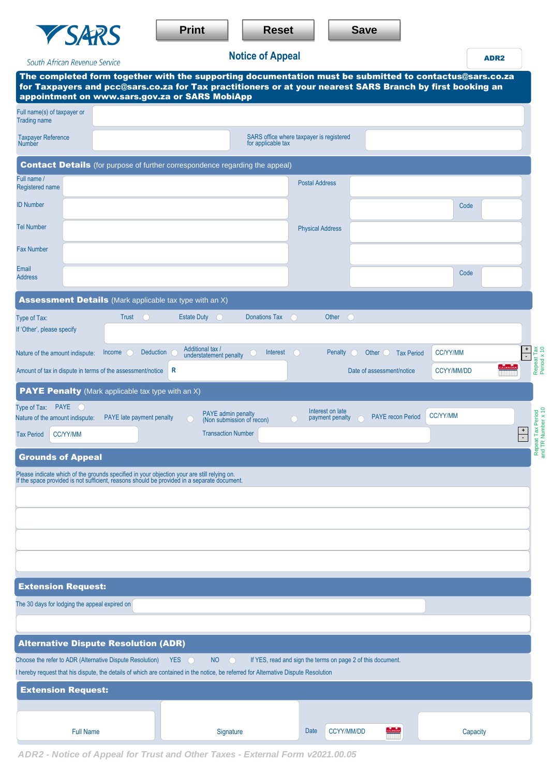| <b>Print</b> | <b>Reset</b> | <b>Save</b> |
|--------------|--------------|-------------|
|              |              |             |

| South African Revenue Service                              |                                                        | <b>Notice of Appeal</b>                                                                                                                                                                                                                                                |                                                             |                                                      |                   | ADR <sub>2</sub>                                        |
|------------------------------------------------------------|--------------------------------------------------------|------------------------------------------------------------------------------------------------------------------------------------------------------------------------------------------------------------------------------------------------------------------------|-------------------------------------------------------------|------------------------------------------------------|-------------------|---------------------------------------------------------|
|                                                            |                                                        | The completed form together with the supporting documentation must be submitted to contactus@sars.co.za<br>for Taxpayers and pcc@sars.co.za for Tax practitioners or at your nearest SARS Branch by first booking an<br>appointment on www.sars.gov.za or SARS MobiApp |                                                             |                                                      |                   |                                                         |
| Full name(s) of taxpayer or<br><b>Trading name</b>         |                                                        |                                                                                                                                                                                                                                                                        |                                                             |                                                      |                   |                                                         |
| <b>Taxpayer Reference</b><br><b>Number</b>                 |                                                        | for applicable tax                                                                                                                                                                                                                                                     | SARS office where taxpayer is registered                    |                                                      |                   |                                                         |
|                                                            |                                                        | <b>Contact Details</b> (for purpose of further correspondence regarding the appeal)                                                                                                                                                                                    |                                                             |                                                      |                   |                                                         |
| Full name /<br>Registered name                             |                                                        |                                                                                                                                                                                                                                                                        | <b>Postal Address</b>                                       |                                                      |                   |                                                         |
| <b>ID Number</b>                                           |                                                        |                                                                                                                                                                                                                                                                        |                                                             |                                                      | Code              |                                                         |
| <b>Tel Number</b>                                          |                                                        |                                                                                                                                                                                                                                                                        | <b>Physical Address</b>                                     |                                                      |                   |                                                         |
| <b>Fax Number</b>                                          |                                                        |                                                                                                                                                                                                                                                                        |                                                             |                                                      |                   |                                                         |
| Email<br><b>Address</b>                                    |                                                        |                                                                                                                                                                                                                                                                        |                                                             |                                                      | Code              |                                                         |
|                                                            |                                                        | <b>Assessment Details</b> (Mark applicable tax type with an X)                                                                                                                                                                                                         |                                                             |                                                      |                   |                                                         |
| Type of Tax:<br>If 'Other', please specify                 | Trust<br>$\left( \begin{array}{c} \end{array} \right)$ | <b>Donations Tax</b><br><b>Estate Duty</b><br>$\left( \right)$                                                                                                                                                                                                         | Other                                                       | $\left( \begin{array}{c} 1 \\ 1 \end{array} \right)$ |                   |                                                         |
| Nature of the amount indispute:                            | <b>Deduction</b><br>Income                             | Additional tax /<br>Interest<br>understatement penalty                                                                                                                                                                                                                 | $\bigcap$<br>Penalty                                        | Other $\bigcirc$<br><b>Tax Period</b>                | <b>CC/YY/MM</b>   | $\frac{+}{\cdot}$                                       |
| Amount of tax in dispute in terms of the assessment/notice |                                                        | R                                                                                                                                                                                                                                                                      |                                                             | Date of assessment/notice                            | <b>CCYY/MM/DD</b> | Repeat Tax<br>Period x 10                               |
| <b>PAYE Penalty</b> (Mark applicable tax type with an X)   |                                                        |                                                                                                                                                                                                                                                                        |                                                             |                                                      |                   |                                                         |
| Type of Tax: $PAYE$<br>Nature of the amount indispute:     | PAYE late payment penalty                              | <b>PAYE</b> admin penalty<br>$\left( \begin{array}{c} \end{array} \right)$<br>(Non submission of recon)                                                                                                                                                                | Interest on late<br>payment penalty<br>(                    | <b>PAYE</b> recon Period                             | <b>CC/YY/MM</b>   |                                                         |
| <b>CC/YY/MM</b><br><b>Tax Period</b>                       |                                                        | <b>Transaction Number</b>                                                                                                                                                                                                                                              |                                                             |                                                      |                   | Repeat Tax Period<br>and TR Number x 10<br>$\,$ +<br>Ξ. |
| <b>Grounds of Appeal</b>                                   |                                                        |                                                                                                                                                                                                                                                                        |                                                             |                                                      |                   |                                                         |
|                                                            |                                                        | Please indicate which of the grounds specified in your objection your are still relying on.<br>If the space provided is not sufficient, reasons should be provided in a separate document.                                                                             |                                                             |                                                      |                   |                                                         |
|                                                            |                                                        |                                                                                                                                                                                                                                                                        |                                                             |                                                      |                   |                                                         |
|                                                            |                                                        |                                                                                                                                                                                                                                                                        |                                                             |                                                      |                   |                                                         |
|                                                            |                                                        |                                                                                                                                                                                                                                                                        |                                                             |                                                      |                   |                                                         |
|                                                            |                                                        |                                                                                                                                                                                                                                                                        |                                                             |                                                      |                   |                                                         |
| <b>Extension Request:</b>                                  |                                                        |                                                                                                                                                                                                                                                                        |                                                             |                                                      |                   |                                                         |
| The 30 days for lodging the appeal expired on              |                                                        |                                                                                                                                                                                                                                                                        |                                                             |                                                      |                   |                                                         |
|                                                            |                                                        |                                                                                                                                                                                                                                                                        |                                                             |                                                      |                   |                                                         |
| <b>Alternative Dispute Resolution (ADR)</b>                |                                                        |                                                                                                                                                                                                                                                                        |                                                             |                                                      |                   |                                                         |
| Choose the refer to ADR (Alternative Dispute Resolution)   |                                                        | $YES$ $\bigcirc$<br><b>NO</b><br>$\bigcap$<br>I hereby request that his dispute, the details of which are contained in the notice, be referred for Alternative Dispute Resolution                                                                                      | If YES, read and sign the terms on page 2 of this document. |                                                      |                   |                                                         |
| <b>Extension Request:</b>                                  |                                                        |                                                                                                                                                                                                                                                                        |                                                             |                                                      |                   |                                                         |
|                                                            |                                                        |                                                                                                                                                                                                                                                                        |                                                             |                                                      |                   |                                                         |
| <b>Full Name</b>                                           |                                                        | Signature                                                                                                                                                                                                                                                              | <b>Date</b>                                                 | <b>CCYY/MM/DD</b>                                    | Capacity          |                                                         |

*ADR2 - Notice of Appeal for Trust and Other Taxes - External Form v2021.00.05*